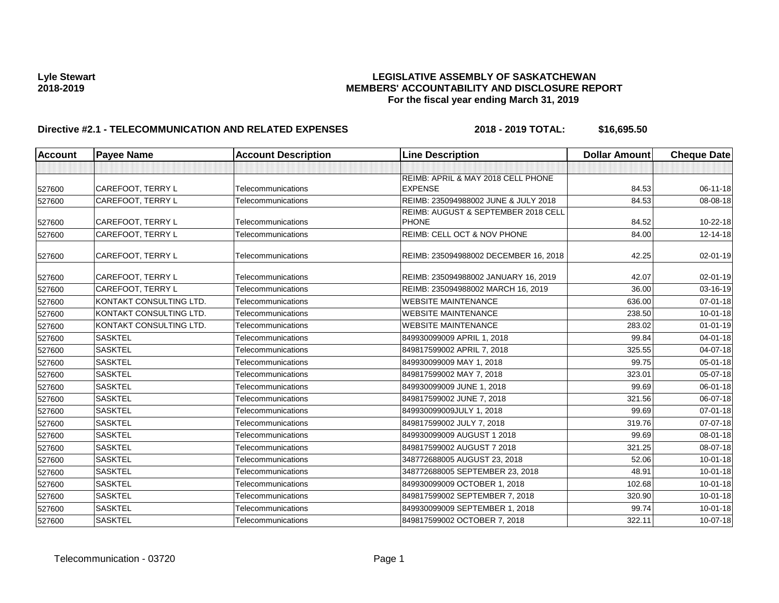| <b>Account</b> | <b>Payee Name</b>        | <b>Account Description</b> | <b>Line Description</b>               | <b>Dollar Amount</b> | <b>Cheque Date</b> |
|----------------|--------------------------|----------------------------|---------------------------------------|----------------------|--------------------|
|                |                          |                            |                                       |                      |                    |
|                |                          |                            | REIMB: APRIL & MAY 2018 CELL PHONE    |                      |                    |
| 527600         | CAREFOOT, TERRY L        | Telecommunications         | <b>EXPENSE</b>                        | 84.53                | 06-11-18           |
| 527600         | <b>CAREFOOT, TERRY L</b> | Telecommunications         | REIMB: 235094988002 JUNE & JULY 2018  | 84.53                | 08-08-18           |
|                |                          |                            | REIMB: AUGUST & SEPTEMBER 2018 CELL   |                      |                    |
| 527600         | CAREFOOT, TERRY L        | Telecommunications         | <b>PHONE</b>                          | 84.52                | 10-22-18           |
| 527600         | <b>CAREFOOT, TERRY L</b> | Telecommunications         | REIMB: CELL OCT & NOV PHONE           | 84.00                | 12-14-18           |
| 527600         | <b>CAREFOOT, TERRY L</b> | Telecommunications         | REIMB: 235094988002 DECEMBER 16, 2018 | 42.25                | 02-01-19           |
| 527600         | CAREFOOT, TERRY L        | Telecommunications         | REIMB: 235094988002 JANUARY 16, 2019  | 42.07                | 02-01-19           |
| 527600         | CAREFOOT, TERRY L        | Telecommunications         | REIMB: 235094988002 MARCH 16, 2019    | 36.00                | 03-16-19           |
| 527600         | KONTAKT CONSULTING LTD.  | Telecommunications         | <b>WEBSITE MAINTENANCE</b>            | 636.00               | $07 - 01 - 18$     |
| 527600         | KONTAKT CONSULTING LTD.  | Telecommunications         | <b>WEBSITE MAINTENANCE</b>            | 238.50               | $10 - 01 - 18$     |
| 527600         | KONTAKT CONSULTING LTD.  | Telecommunications         | <b>WEBSITE MAINTENANCE</b>            | 283.02               | $01 - 01 - 19$     |
| 527600         | <b>SASKTEL</b>           | Telecommunications         | 849930099009 APRIL 1, 2018            | 99.84                | 04-01-18           |
| 527600         | <b>SASKTEL</b>           | Telecommunications         | 849817599002 APRIL 7, 2018            | 325.55               | 04-07-18           |
| 527600         | <b>SASKTEL</b>           | Telecommunications         | 849930099009 MAY 1, 2018              | 99.75                | 05-01-18           |
| 527600         | <b>SASKTEL</b>           | Telecommunications         | 849817599002 MAY 7, 2018              | 323.01               | 05-07-18           |
| 527600         | <b>SASKTEL</b>           | Telecommunications         | 849930099009 JUNE 1, 2018             | 99.69                | $06 - 01 - 18$     |
| 527600         | <b>SASKTEL</b>           | Telecommunications         | 849817599002 JUNE 7, 2018             | 321.56               | 06-07-18           |
| 527600         | <b>SASKTEL</b>           | Telecommunications         | 849930099009JULY 1, 2018              | 99.69                | 07-01-18           |
| 527600         | <b>SASKTEL</b>           | Telecommunications         | 849817599002 JULY 7, 2018             | 319.76               | 07-07-18           |
| 527600         | <b>SASKTEL</b>           | Telecommunications         | 849930099009 AUGUST 1 2018            | 99.69                | 08-01-18           |
| 527600         | <b>SASKTEL</b>           | Telecommunications         | 849817599002 AUGUST 7 2018            | 321.25               | 08-07-18           |
| 527600         | <b>SASKTEL</b>           | Telecommunications         | 348772688005 AUGUST 23, 2018          | 52.06                | $10 - 01 - 18$     |
| 527600         | <b>SASKTEL</b>           | Telecommunications         | 348772688005 SEPTEMBER 23, 2018       | 48.91                | $10 - 01 - 18$     |
| 527600         | <b>SASKTEL</b>           | Telecommunications         | 849930099009 OCTOBER 1, 2018          | 102.68               | $10 - 01 - 18$     |
| 527600         | <b>SASKTEL</b>           | Telecommunications         | 849817599002 SEPTEMBER 7, 2018        | 320.90               | $10 - 01 - 18$     |
| 527600         | <b>SASKTEL</b>           | Telecommunications         | 849930099009 SEPTEMBER 1, 2018        | 99.74                | $10 - 01 - 18$     |
| 527600         | <b>SASKTEL</b>           | Telecommunications         | 849817599002 OCTOBER 7, 2018          | 322.11               | 10-07-18           |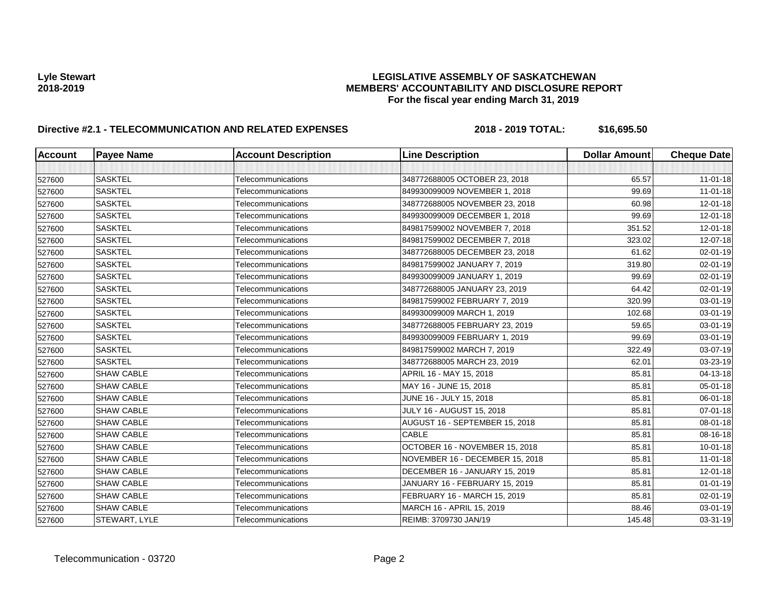| <b>Account</b> | <b>Payee Name</b>    | <b>Account Description</b> | <b>Line Description</b>          | <b>Dollar Amount</b> | <b>Cheque Date</b> |
|----------------|----------------------|----------------------------|----------------------------------|----------------------|--------------------|
|                |                      |                            |                                  |                      |                    |
| 527600         | <b>SASKTEL</b>       | Telecommunications         | 348772688005 OCTOBER 23, 2018    | 65.57                | $11-01-18$         |
| 527600         | <b>SASKTEL</b>       | Telecommunications         | 849930099009 NOVEMBER 1, 2018    | 99.69                | $11 - 01 - 18$     |
| 527600         | <b>SASKTEL</b>       | Telecommunications         | 348772688005 NOVEMBER 23, 2018   | 60.98                | $12 - 01 - 18$     |
| 527600         | <b>SASKTEL</b>       | Telecommunications         | 849930099009 DECEMBER 1, 2018    | 99.69                | 12-01-18           |
| 527600         | <b>SASKTEL</b>       | Telecommunications         | 849817599002 NOVEMBER 7, 2018    | 351.52               | 12-01-18           |
| 527600         | <b>SASKTEL</b>       | Telecommunications         | 849817599002 DECEMBER 7, 2018    | 323.02               | 12-07-18           |
| 527600         | <b>SASKTEL</b>       | Telecommunications         | 348772688005 DECEMBER 23, 2018   | 61.62                | 02-01-19           |
| 527600         | <b>SASKTEL</b>       | Telecommunications         | 849817599002 JANUARY 7, 2019     | 319.80               | 02-01-19           |
| 527600         | <b>SASKTEL</b>       | Telecommunications         | 849930099009 JANUARY 1, 2019     | 99.69                | 02-01-19           |
| 527600         | <b>SASKTEL</b>       | Telecommunications         | 348772688005 JANUARY 23, 2019    | 64.42                | 02-01-19           |
| 527600         | <b>SASKTEL</b>       | Telecommunications         | 849817599002 FEBRUARY 7, 2019    | 320.99               | 03-01-19           |
| 527600         | <b>SASKTEL</b>       | Telecommunications         | 849930099009 MARCH 1, 2019       | 102.68               | 03-01-19           |
| 527600         | <b>SASKTEL</b>       | Telecommunications         | 348772688005 FEBRUARY 23, 2019   | 59.65                | 03-01-19           |
| 527600         | <b>SASKTEL</b>       | Telecommunications         | 849930099009 FEBRUARY 1, 2019    | 99.69                | 03-01-19           |
| 527600         | <b>SASKTEL</b>       | Telecommunications         | 849817599002 MARCH 7, 2019       | 322.49               | 03-07-19           |
| 527600         | <b>SASKTEL</b>       | Telecommunications         | 348772688005 MARCH 23, 2019      | 62.01                | 03-23-19           |
| 527600         | <b>SHAW CABLE</b>    | Telecommunications         | APRIL 16 - MAY 15, 2018          | 85.81                | 04-13-18           |
| 527600         | <b>SHAW CABLE</b>    | Telecommunications         | MAY 16 - JUNE 15, 2018           | 85.81                | 05-01-18           |
| 527600         | <b>SHAW CABLE</b>    | Telecommunications         | JUNE 16 - JULY 15, 2018          | 85.81                | 06-01-18           |
| 527600         | <b>SHAW CABLE</b>    | Telecommunications         | <b>JULY 16 - AUGUST 15, 2018</b> | 85.81                | $07 - 01 - 18$     |
| 527600         | <b>SHAW CABLE</b>    | Telecommunications         | AUGUST 16 - SEPTEMBER 15, 2018   | 85.81                | $08 - 01 - 18$     |
| 527600         | <b>SHAW CABLE</b>    | Telecommunications         | <b>CABLE</b>                     | 85.81                | 08-16-18           |
| 527600         | <b>SHAW CABLE</b>    | Telecommunications         | OCTOBER 16 - NOVEMBER 15, 2018   | 85.81                | $10 - 01 - 18$     |
| 527600         | <b>SHAW CABLE</b>    | Telecommunications         | NOVEMBER 16 - DECEMBER 15, 2018  | 85.81                | $11-01-18$         |
| 527600         | <b>SHAW CABLE</b>    | Telecommunications         | DECEMBER 16 - JANUARY 15, 2019   | 85.81                | 12-01-18           |
| 527600         | <b>SHAW CABLE</b>    | Telecommunications         | JANUARY 16 - FEBRUARY 15, 2019   | 85.81                | $01 - 01 - 19$     |
| 527600         | <b>SHAW CABLE</b>    | Telecommunications         | FEBRUARY 16 - MARCH 15, 2019     | 85.81                | 02-01-19           |
| 527600         | <b>SHAW CABLE</b>    | Telecommunications         | MARCH 16 - APRIL 15, 2019        | 88.46                | $03 - 01 - 19$     |
| 527600         | <b>STEWART, LYLE</b> | Telecommunications         | REIMB: 3709730 JAN/19            | 145.48               | 03-31-19           |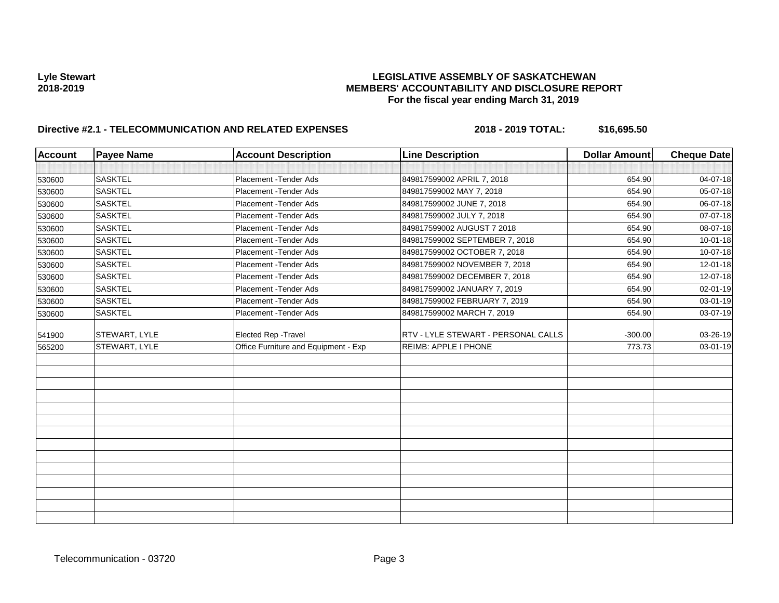| <b>Account</b> | <b>Payee Name</b> | <b>Account Description</b>           | <b>Line Description</b>             | <b>Dollar Amount</b> | <b>Cheque Date</b> |
|----------------|-------------------|--------------------------------------|-------------------------------------|----------------------|--------------------|
|                |                   |                                      |                                     |                      |                    |
| 530600         | <b>SASKTEL</b>    | Placement - Tender Ads               | 849817599002 APRIL 7, 2018          | 654.90               | 04-07-18           |
| 530600         | <b>SASKTEL</b>    | Placement - Tender Ads               | 849817599002 MAY 7, 2018            | 654.90               | 05-07-18           |
| 530600         | <b>SASKTEL</b>    | Placement - Tender Ads               | 849817599002 JUNE 7, 2018           | 654.90               | 06-07-18           |
| 530600         | <b>SASKTEL</b>    | Placement - Tender Ads               | 849817599002 JULY 7, 2018           | 654.90               | 07-07-18           |
| 530600         | <b>SASKTEL</b>    | Placement - Tender Ads               | 849817599002 AUGUST 7 2018          | 654.90               | 08-07-18           |
| 530600         | <b>SASKTEL</b>    | Placement - Tender Ads               | 849817599002 SEPTEMBER 7, 2018      | 654.90               | $10 - 01 - 18$     |
| 530600         | <b>SASKTEL</b>    | Placement - Tender Ads               | 849817599002 OCTOBER 7, 2018        | 654.90               | 10-07-18           |
| 530600         | <b>SASKTEL</b>    | Placement - Tender Ads               | 849817599002 NOVEMBER 7, 2018       | 654.90               | 12-01-18           |
| 530600         | <b>SASKTEL</b>    | Placement - Tender Ads               | 849817599002 DECEMBER 7, 2018       | 654.90               | 12-07-18           |
| 530600         | <b>SASKTEL</b>    | Placement - Tender Ads               | 849817599002 JANUARY 7, 2019        | 654.90               | 02-01-19           |
| 530600         | <b>SASKTEL</b>    | Placement - Tender Ads               | 849817599002 FEBRUARY 7, 2019       | 654.90               | 03-01-19           |
| 530600         | <b>SASKTEL</b>    | Placement - Tender Ads               | 849817599002 MARCH 7, 2019          | 654.90               | 03-07-19           |
| 541900         | STEWART, LYLE     | Elected Rep - Travel                 | RTV - LYLE STEWART - PERSONAL CALLS | $-300.00$            | 03-26-19           |
| 565200         | STEWART, LYLE     | Office Furniture and Equipment - Exp | REIMB: APPLE I PHONE                | 773.73               | 03-01-19           |
|                |                   |                                      |                                     |                      |                    |
|                |                   |                                      |                                     |                      |                    |
|                |                   |                                      |                                     |                      |                    |
|                |                   |                                      |                                     |                      |                    |
|                |                   |                                      |                                     |                      |                    |
|                |                   |                                      |                                     |                      |                    |
|                |                   |                                      |                                     |                      |                    |
|                |                   |                                      |                                     |                      |                    |
|                |                   |                                      |                                     |                      |                    |
|                |                   |                                      |                                     |                      |                    |
|                |                   |                                      |                                     |                      |                    |
|                |                   |                                      |                                     |                      |                    |
|                |                   |                                      |                                     |                      |                    |
|                |                   |                                      |                                     |                      |                    |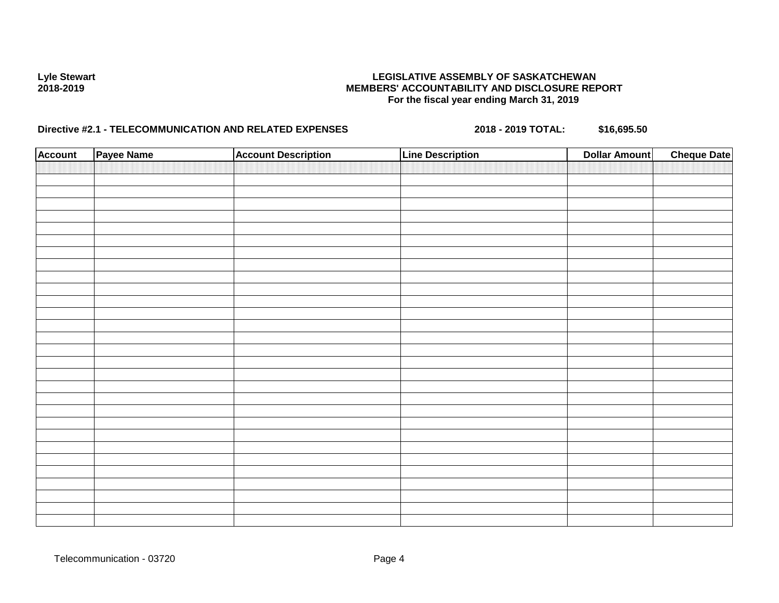| <b>Account</b> | Payee Name | <b>Account Description</b> | <b>Line Description</b> | <b>Dollar Amount</b> | <b>Cheque Date</b> |
|----------------|------------|----------------------------|-------------------------|----------------------|--------------------|
|                |            |                            |                         |                      |                    |
|                |            |                            |                         |                      |                    |
|                |            |                            |                         |                      |                    |
|                |            |                            |                         |                      |                    |
|                |            |                            |                         |                      |                    |
|                |            |                            |                         |                      |                    |
|                |            |                            |                         |                      |                    |
|                |            |                            |                         |                      |                    |
|                |            |                            |                         |                      |                    |
|                |            |                            |                         |                      |                    |
|                |            |                            |                         |                      |                    |
|                |            |                            |                         |                      |                    |
|                |            |                            |                         |                      |                    |
|                |            |                            |                         |                      |                    |
|                |            |                            |                         |                      |                    |
|                |            |                            |                         |                      |                    |
|                |            |                            |                         |                      |                    |
|                |            |                            |                         |                      |                    |
|                |            |                            |                         |                      |                    |
|                |            |                            |                         |                      |                    |
|                |            |                            |                         |                      |                    |
|                |            |                            |                         |                      |                    |
|                |            |                            |                         |                      |                    |
|                |            |                            |                         |                      |                    |
|                |            |                            |                         |                      |                    |
|                |            |                            |                         |                      |                    |
|                |            |                            |                         |                      |                    |
|                |            |                            |                         |                      |                    |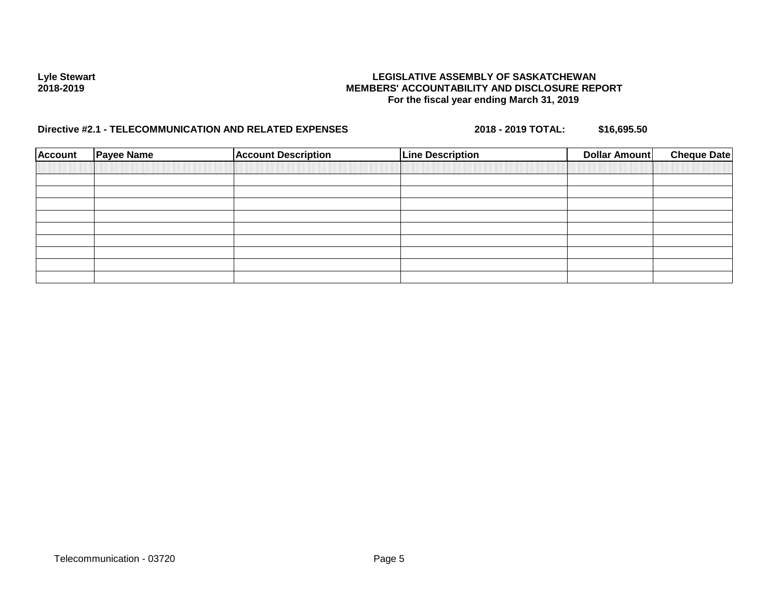| <b>Account</b> | <b>Payee Name</b> | <b>Account Description</b> | <b>Line Description</b> | <b>Dollar Amount</b> | <b>Cheque Date</b> |
|----------------|-------------------|----------------------------|-------------------------|----------------------|--------------------|
|                |                   |                            |                         |                      |                    |
|                |                   |                            |                         |                      |                    |
|                |                   |                            |                         |                      |                    |
|                |                   |                            |                         |                      |                    |
|                |                   |                            |                         |                      |                    |
|                |                   |                            |                         |                      |                    |
|                |                   |                            |                         |                      |                    |
|                |                   |                            |                         |                      |                    |
|                |                   |                            |                         |                      |                    |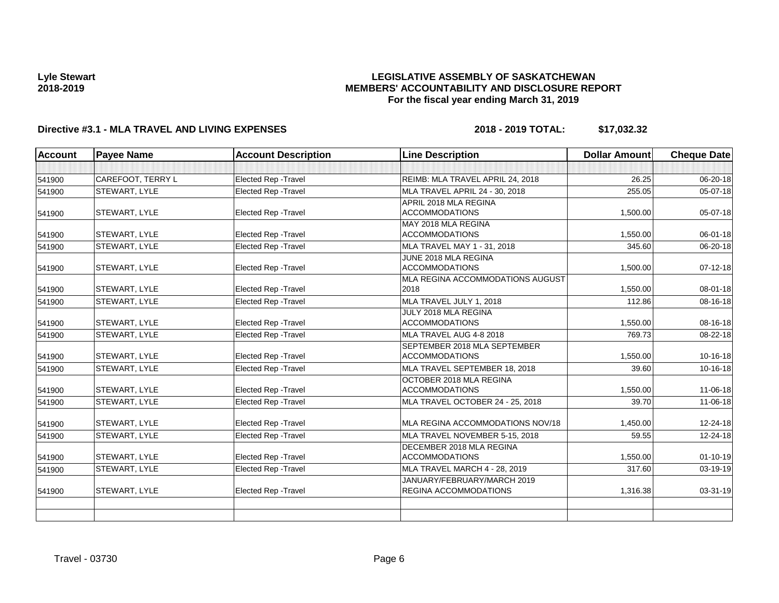## **LEGISLATIVE ASSEMBLY OF SASKATCHEWAN MEMBERS' ACCOUNTABILITY AND DISCLOSURE REPORT For the fiscal year ending March 31, 2019**

| <b>Account</b> | <b>Payee Name</b> | <b>Account Description</b>  | <b>Line Description</b>          | <b>Dollar Amount</b> | <b>Cheque Date</b> |
|----------------|-------------------|-----------------------------|----------------------------------|----------------------|--------------------|
|                |                   |                             |                                  |                      |                    |
| 541900         | CAREFOOT, TERRY L | Elected Rep - Travel        | REIMB: MLA TRAVEL APRIL 24, 2018 | 26.25                | 06-20-18           |
| 541900         | STEWART, LYLE     | Elected Rep - Travel        | MLA TRAVEL APRIL 24 - 30, 2018   | 255.05               | $05-07-18$         |
|                |                   |                             | APRIL 2018 MLA REGINA            |                      |                    |
| 541900         | STEWART, LYLE     | Elected Rep - Travel        | <b>ACCOMMODATIONS</b>            | 1,500.00             | 05-07-18           |
|                |                   |                             | MAY 2018 MLA REGINA              |                      |                    |
| 541900         | STEWART, LYLE     | Elected Rep - Travel        | <b>ACCOMMODATIONS</b>            | 1,550.00             | 06-01-18           |
| 541900         | STEWART, LYLE     | Elected Rep - Travel        | MLA TRAVEL MAY 1 - 31, 2018      | 345.60               | 06-20-18           |
|                |                   |                             | JUNE 2018 MLA REGINA             |                      |                    |
| 541900         | STEWART, LYLE     | Elected Rep - Travel        | <b>ACCOMMODATIONS</b>            | 1,500.00             | $07 - 12 - 18$     |
|                |                   |                             | MLA REGINA ACCOMMODATIONS AUGUST |                      |                    |
| 541900         | STEWART, LYLE     | <b>Elected Rep - Travel</b> | 2018                             | 1,550.00             | 08-01-18           |
| 541900         | STEWART, LYLE     | Elected Rep - Travel        | MLA TRAVEL JULY 1, 2018          | 112.86               | 08-16-18           |
|                |                   |                             | JULY 2018 MLA REGINA             |                      |                    |
| 541900         | STEWART, LYLE     | <b>Elected Rep - Travel</b> | <b>ACCOMMODATIONS</b>            | 1,550.00             | 08-16-18           |
| 541900         | STEWART, LYLE     | <b>Elected Rep - Travel</b> | MLA TRAVEL AUG 4-8 2018          | 769.73               | 08-22-18           |
|                |                   |                             | SEPTEMBER 2018 MLA SEPTEMBER     |                      |                    |
| 541900         | STEWART, LYLE     | <b>Elected Rep - Travel</b> | <b>ACCOMMODATIONS</b>            | 1,550.00             | 10-16-18           |
| 541900         | STEWART, LYLE     | Elected Rep - Travel        | MLA TRAVEL SEPTEMBER 18, 2018    | 39.60                | 10-16-18           |
|                |                   |                             | OCTOBER 2018 MLA REGINA          |                      |                    |
| 541900         | STEWART, LYLE     | <b>Elected Rep - Travel</b> | <b>ACCOMMODATIONS</b>            | 1,550.00             | 11-06-18           |
| 541900         | STEWART, LYLE     | <b>Elected Rep - Travel</b> | MLA TRAVEL OCTOBER 24 - 25, 2018 | 39.70                | 11-06-18           |
| 541900         | STEWART, LYLE     | <b>Elected Rep - Travel</b> | MLA REGINA ACCOMMODATIONS NOV/18 | 1,450.00             | 12-24-18           |
| 541900         | STEWART, LYLE     | <b>Elected Rep - Travel</b> | MLA TRAVEL NOVEMBER 5-15, 2018   | 59.55                | 12-24-18           |
|                |                   |                             | DECEMBER 2018 MLA REGINA         |                      |                    |
| 541900         | STEWART, LYLE     | <b>Elected Rep - Travel</b> | <b>ACCOMMODATIONS</b>            | 1,550.00             | $01 - 10 - 19$     |
| 541900         | STEWART, LYLE     | Elected Rep - Travel        | MLA TRAVEL MARCH 4 - 28, 2019    | 317.60               | 03-19-19           |
|                |                   |                             | JANUARY/FEBRUARY/MARCH 2019      |                      |                    |
| 541900         | STEWART, LYLE     | <b>Elected Rep - Travel</b> | <b>REGINA ACCOMMODATIONS</b>     | 1.316.38             | 03-31-19           |
|                |                   |                             |                                  |                      |                    |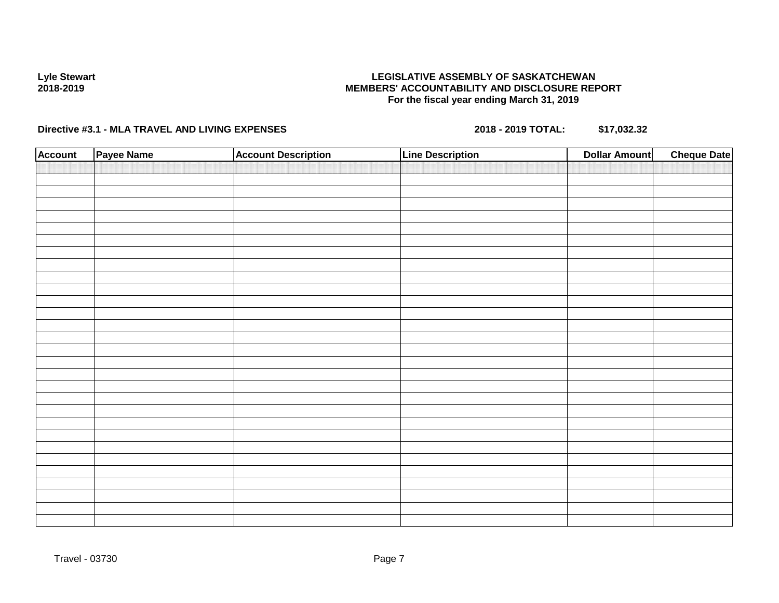## **LEGISLATIVE ASSEMBLY OF SASKATCHEWAN MEMBERS' ACCOUNTABILITY AND DISCLOSURE REPORT For the fiscal year ending March 31, 2019**

| <b>Account</b> | Payee Name | <b>Account Description</b> | <b>Line Description</b> | <b>Cheque Date</b><br><b>Dollar Amount</b> |
|----------------|------------|----------------------------|-------------------------|--------------------------------------------|
|                |            |                            |                         |                                            |
|                |            |                            |                         |                                            |
|                |            |                            |                         |                                            |
|                |            |                            |                         |                                            |
|                |            |                            |                         |                                            |
|                |            |                            |                         |                                            |
|                |            |                            |                         |                                            |
|                |            |                            |                         |                                            |
|                |            |                            |                         |                                            |
|                |            |                            |                         |                                            |
|                |            |                            |                         |                                            |
|                |            |                            |                         |                                            |
|                |            |                            |                         |                                            |
|                |            |                            |                         |                                            |
|                |            |                            |                         |                                            |
|                |            |                            |                         |                                            |
|                |            |                            |                         |                                            |
|                |            |                            |                         |                                            |
|                |            |                            |                         |                                            |
|                |            |                            |                         |                                            |
|                |            |                            |                         |                                            |
|                |            |                            |                         |                                            |
|                |            |                            |                         |                                            |
|                |            |                            |                         |                                            |
|                |            |                            |                         |                                            |
|                |            |                            |                         |                                            |
|                |            |                            |                         |                                            |
|                |            |                            |                         |                                            |
|                |            |                            |                         |                                            |
|                |            |                            |                         |                                            |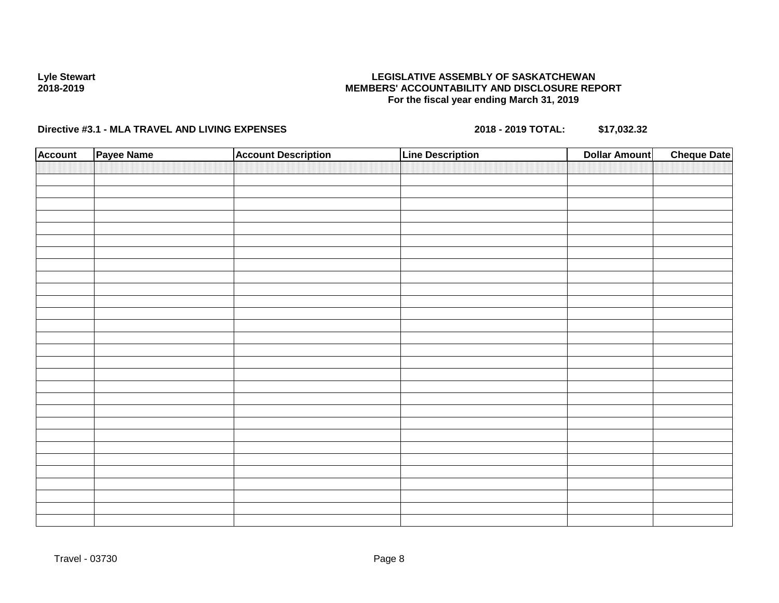## **LEGISLATIVE ASSEMBLY OF SASKATCHEWAN MEMBERS' ACCOUNTABILITY AND DISCLOSURE REPORT For the fiscal year ending March 31, 2019**

| <b>Account</b> | Payee Name | <b>Account Description</b> | <b>Line Description</b> | <b>Cheque Date</b><br><b>Dollar Amount</b> |
|----------------|------------|----------------------------|-------------------------|--------------------------------------------|
|                |            |                            |                         |                                            |
|                |            |                            |                         |                                            |
|                |            |                            |                         |                                            |
|                |            |                            |                         |                                            |
|                |            |                            |                         |                                            |
|                |            |                            |                         |                                            |
|                |            |                            |                         |                                            |
|                |            |                            |                         |                                            |
|                |            |                            |                         |                                            |
|                |            |                            |                         |                                            |
|                |            |                            |                         |                                            |
|                |            |                            |                         |                                            |
|                |            |                            |                         |                                            |
|                |            |                            |                         |                                            |
|                |            |                            |                         |                                            |
|                |            |                            |                         |                                            |
|                |            |                            |                         |                                            |
|                |            |                            |                         |                                            |
|                |            |                            |                         |                                            |
|                |            |                            |                         |                                            |
|                |            |                            |                         |                                            |
|                |            |                            |                         |                                            |
|                |            |                            |                         |                                            |
|                |            |                            |                         |                                            |
|                |            |                            |                         |                                            |
|                |            |                            |                         |                                            |
|                |            |                            |                         |                                            |
|                |            |                            |                         |                                            |
|                |            |                            |                         |                                            |
|                |            |                            |                         |                                            |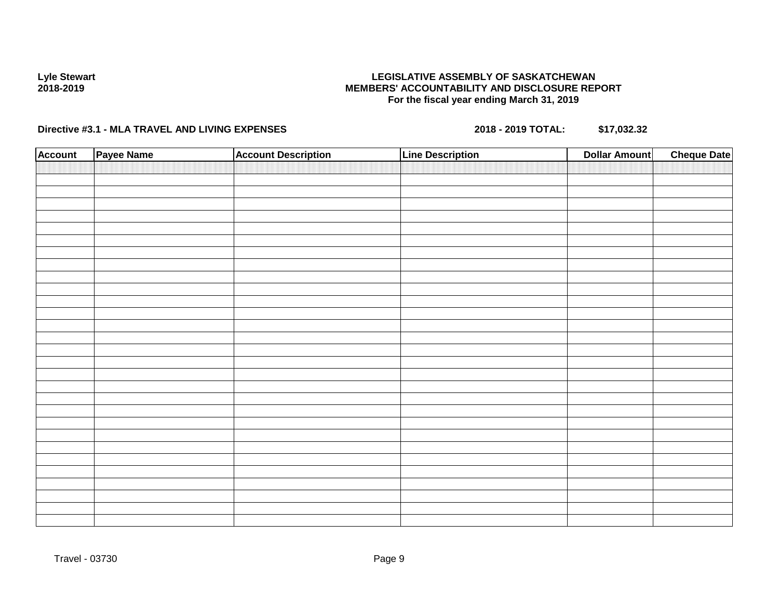## **LEGISLATIVE ASSEMBLY OF SASKATCHEWAN MEMBERS' ACCOUNTABILITY AND DISCLOSURE REPORT For the fiscal year ending March 31, 2019**

| <b>Account</b> | Payee Name | <b>Account Description</b> | <b>Line Description</b> | <b>Cheque Date</b><br><b>Dollar Amount</b> |
|----------------|------------|----------------------------|-------------------------|--------------------------------------------|
|                |            |                            |                         |                                            |
|                |            |                            |                         |                                            |
|                |            |                            |                         |                                            |
|                |            |                            |                         |                                            |
|                |            |                            |                         |                                            |
|                |            |                            |                         |                                            |
|                |            |                            |                         |                                            |
|                |            |                            |                         |                                            |
|                |            |                            |                         |                                            |
|                |            |                            |                         |                                            |
|                |            |                            |                         |                                            |
|                |            |                            |                         |                                            |
|                |            |                            |                         |                                            |
|                |            |                            |                         |                                            |
|                |            |                            |                         |                                            |
|                |            |                            |                         |                                            |
|                |            |                            |                         |                                            |
|                |            |                            |                         |                                            |
|                |            |                            |                         |                                            |
|                |            |                            |                         |                                            |
|                |            |                            |                         |                                            |
|                |            |                            |                         |                                            |
|                |            |                            |                         |                                            |
|                |            |                            |                         |                                            |
|                |            |                            |                         |                                            |
|                |            |                            |                         |                                            |
|                |            |                            |                         |                                            |
|                |            |                            |                         |                                            |
|                |            |                            |                         |                                            |
|                |            |                            |                         |                                            |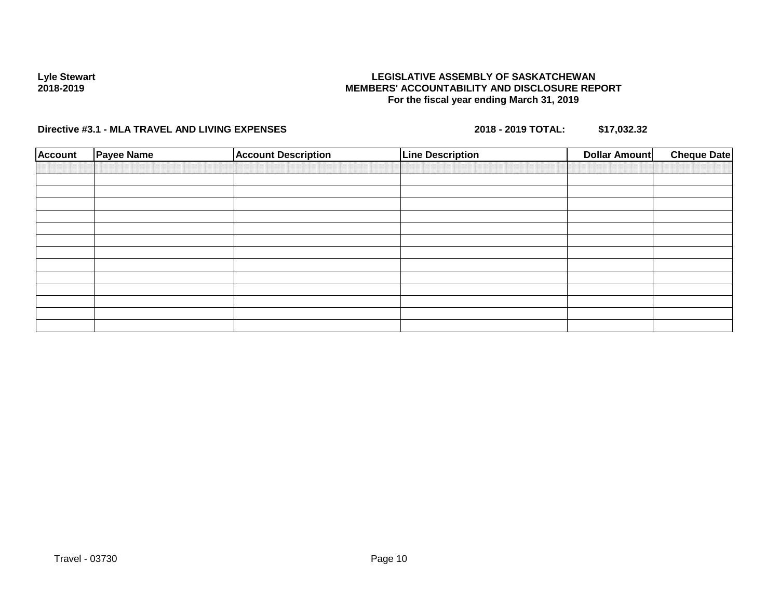## **LEGISLATIVE ASSEMBLY OF SASKATCHEWAN MEMBERS' ACCOUNTABILITY AND DISCLOSURE REPORT For the fiscal year ending March 31, 2019**

| <b>Account</b> | <b>Payee Name</b> | <b>Account Description</b> | <b>Line Description</b> | <b>Dollar Amount</b> | <b>Cheque Date</b> |
|----------------|-------------------|----------------------------|-------------------------|----------------------|--------------------|
|                |                   |                            |                         |                      |                    |
|                |                   |                            |                         |                      |                    |
|                |                   |                            |                         |                      |                    |
|                |                   |                            |                         |                      |                    |
|                |                   |                            |                         |                      |                    |
|                |                   |                            |                         |                      |                    |
|                |                   |                            |                         |                      |                    |
|                |                   |                            |                         |                      |                    |
|                |                   |                            |                         |                      |                    |
|                |                   |                            |                         |                      |                    |
|                |                   |                            |                         |                      |                    |
|                |                   |                            |                         |                      |                    |
|                |                   |                            |                         |                      |                    |
|                |                   |                            |                         |                      |                    |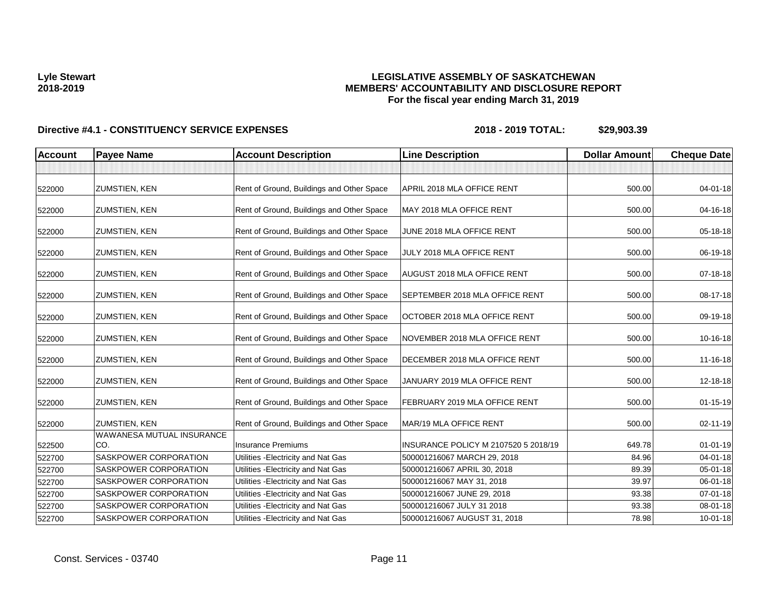## **LEGISLATIVE ASSEMBLY OF SASKATCHEWAN MEMBERS' ACCOUNTABILITY AND DISCLOSURE REPORT For the fiscal year ending March 31, 2019**

| <b>Account</b> | <b>Payee Name</b>                                        | <b>Account Description</b>                | <b>Line Description</b>               | <b>Dollar Amount</b> | <b>Cheque Date</b> |
|----------------|----------------------------------------------------------|-------------------------------------------|---------------------------------------|----------------------|--------------------|
|                |                                                          |                                           |                                       |                      |                    |
| 522000         | <b>ZUMSTIEN, KEN</b>                                     | Rent of Ground, Buildings and Other Space | APRIL 2018 MLA OFFICE RENT            | 500.00               | $04 - 01 - 18$     |
| 522000         | <b>ZUMSTIEN, KEN</b>                                     | Rent of Ground, Buildings and Other Space | MAY 2018 MLA OFFICE RENT              | 500.00               | 04-16-18           |
| 522000         | <b>ZUMSTIEN, KEN</b>                                     | Rent of Ground, Buildings and Other Space | JUNE 2018 MLA OFFICE RENT             | 500.00               | 05-18-18           |
| 522000         | <b>ZUMSTIEN, KEN</b>                                     | Rent of Ground, Buildings and Other Space | JULY 2018 MLA OFFICE RENT             | 500.00               | 06-19-18           |
| 522000         | <b>ZUMSTIEN, KEN</b>                                     | Rent of Ground, Buildings and Other Space | AUGUST 2018 MLA OFFICE RENT           | 500.00               | 07-18-18           |
| 522000         | <b>ZUMSTIEN, KEN</b>                                     | Rent of Ground, Buildings and Other Space | <b>SEPTEMBER 2018 MLA OFFICE RENT</b> | 500.00               | 08-17-18           |
| 522000         | <b>ZUMSTIEN, KEN</b>                                     | Rent of Ground, Buildings and Other Space | OCTOBER 2018 MLA OFFICE RENT          | 500.00               | 09-19-18           |
| 522000         | <b>ZUMSTIEN, KEN</b>                                     | Rent of Ground, Buildings and Other Space | NOVEMBER 2018 MLA OFFICE RENT         | 500.00               | 10-16-18           |
| 522000         | <b>ZUMSTIEN, KEN</b>                                     | Rent of Ground, Buildings and Other Space | DECEMBER 2018 MLA OFFICE RENT         | 500.00               | 11-16-18           |
| 522000         | <b>ZUMSTIEN, KEN</b>                                     | Rent of Ground, Buildings and Other Space | JANUARY 2019 MLA OFFICE RENT          | 500.00               | 12-18-18           |
| 522000         | <b>ZUMSTIEN, KEN</b>                                     | Rent of Ground, Buildings and Other Space | FEBRUARY 2019 MLA OFFICE RENT         | 500.00               | $01 - 15 - 19$     |
| 522000         | <b>ZUMSTIEN, KEN</b><br><b>WAWANESA MUTUAL INSURANCE</b> | Rent of Ground, Buildings and Other Space | MAR/19 MLA OFFICE RENT                | 500.00               | 02-11-19           |
| 522500         | CO.                                                      | Insurance Premiums                        | INSURANCE POLICY M 2107520 5 2018/19  | 649.78               | $01 - 01 - 19$     |
| 522700         | SASKPOWER CORPORATION                                    | Utilities - Electricity and Nat Gas       | 500001216067 MARCH 29, 2018           | 84.96                | $04 - 01 - 18$     |
| 522700         | SASKPOWER CORPORATION                                    | Utilities - Electricity and Nat Gas       | 500001216067 APRIL 30, 2018           | 89.39                | 05-01-18           |
| 522700         | SASKPOWER CORPORATION                                    | Utilities - Electricity and Nat Gas       | 500001216067 MAY 31, 2018             | 39.97                | 06-01-18           |
| 522700         | SASKPOWER CORPORATION                                    | Utilities - Electricity and Nat Gas       | 500001216067 JUNE 29, 2018            | 93.38                | 07-01-18           |
| 522700         | SASKPOWER CORPORATION                                    | Utilities - Electricity and Nat Gas       | 500001216067 JULY 31 2018             | 93.38                | 08-01-18           |
| 522700         | SASKPOWER CORPORATION                                    | Utilities - Electricity and Nat Gas       | 500001216067 AUGUST 31, 2018          | 78.98                | $10 - 01 - 18$     |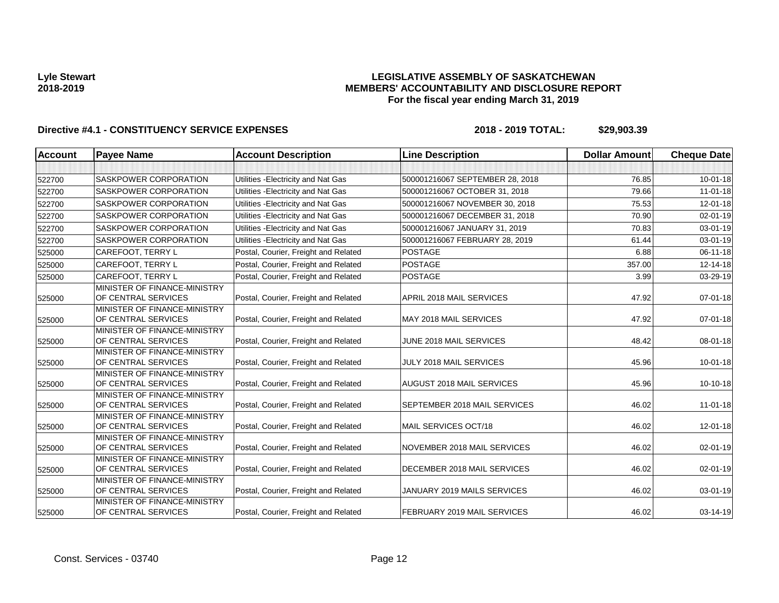## **LEGISLATIVE ASSEMBLY OF SASKATCHEWAN MEMBERS' ACCOUNTABILITY AND DISCLOSURE REPORT For the fiscal year ending March 31, 2019**

| <b>Account</b> | <b>Payee Name</b>                                   | <b>Account Description</b>           | <b>Line Description</b>         | <b>Dollar Amount</b> | <b>Cheque Date</b> |
|----------------|-----------------------------------------------------|--------------------------------------|---------------------------------|----------------------|--------------------|
|                |                                                     |                                      |                                 |                      |                    |
| 522700         | SASKPOWER CORPORATION                               | Utilities - Electricity and Nat Gas  | 500001216067 SEPTEMBER 28, 2018 | 76.85                | $10 - 01 - 18$     |
| 522700         | <b>SASKPOWER CORPORATION</b>                        | Utilities - Electricity and Nat Gas  | 500001216067 OCTOBER 31, 2018   | 79.66                | $11-01-18$         |
| 522700         | SASKPOWER CORPORATION                               | Utilities - Electricity and Nat Gas  | 500001216067 NOVEMBER 30, 2018  | 75.53                | $12 - 01 - 18$     |
| 522700         | <b>SASKPOWER CORPORATION</b>                        | Utilities - Electricity and Nat Gas  | 500001216067 DECEMBER 31, 2018  | 70.90                | $02 - 01 - 19$     |
| 522700         | <b>SASKPOWER CORPORATION</b>                        | Utilities - Electricity and Nat Gas  | 500001216067 JANUARY 31, 2019   | 70.83                | 03-01-19           |
| 522700         | SASKPOWER CORPORATION                               | Utilities - Electricity and Nat Gas  | 500001216067 FEBRUARY 28, 2019  | 61.44                | $03 - 01 - 19$     |
| 525000         | CAREFOOT, TERRY L                                   | Postal, Courier, Freight and Related | <b>POSTAGE</b>                  | 6.88                 | $06 - 11 - 18$     |
| 525000         | <b>CAREFOOT, TERRY L</b>                            | Postal, Courier, Freight and Related | <b>POSTAGE</b>                  | 357.00               | 12-14-18           |
| 525000         | <b>CAREFOOT, TERRY L</b>                            | Postal, Courier, Freight and Related | <b>POSTAGE</b>                  | 3.99                 | 03-29-19           |
| 525000         | MINISTER OF FINANCE-MINISTRY<br>OF CENTRAL SERVICES | Postal, Courier, Freight and Related | APRIL 2018 MAIL SERVICES        | 47.92                | $07 - 01 - 18$     |
| 525000         | MINISTER OF FINANCE-MINISTRY<br>OF CENTRAL SERVICES | Postal, Courier, Freight and Related | MAY 2018 MAIL SERVICES          | 47.92                | $07 - 01 - 18$     |
| 525000         | MINISTER OF FINANCE-MINISTRY<br>OF CENTRAL SERVICES | Postal, Courier, Freight and Related | JUNE 2018 MAIL SERVICES         | 48.42                | 08-01-18           |
| 525000         | MINISTER OF FINANCE-MINISTRY<br>OF CENTRAL SERVICES | Postal, Courier, Freight and Related | JULY 2018 MAIL SERVICES         | 45.96                | $10 - 01 - 18$     |
| 525000         | MINISTER OF FINANCE-MINISTRY<br>OF CENTRAL SERVICES | Postal, Courier, Freight and Related | AUGUST 2018 MAIL SERVICES       | 45.96                | $10-10-18$         |
| 525000         | MINISTER OF FINANCE-MINISTRY<br>OF CENTRAL SERVICES | Postal, Courier, Freight and Related | SEPTEMBER 2018 MAIL SERVICES    | 46.02                | $11 - 01 - 18$     |
| 525000         | MINISTER OF FINANCE-MINISTRY<br>OF CENTRAL SERVICES | Postal, Courier, Freight and Related | MAIL SERVICES OCT/18            | 46.02                | 12-01-18           |
| 525000         | MINISTER OF FINANCE-MINISTRY<br>OF CENTRAL SERVICES | Postal, Courier, Freight and Related | NOVEMBER 2018 MAIL SERVICES     | 46.02                | 02-01-19           |
| 525000         | MINISTER OF FINANCE-MINISTRY<br>OF CENTRAL SERVICES | Postal, Courier, Freight and Related | DECEMBER 2018 MAIL SERVICES     | 46.02                | 02-01-19           |
| 525000         | MINISTER OF FINANCE-MINISTRY<br>OF CENTRAL SERVICES | Postal, Courier, Freight and Related | JANUARY 2019 MAILS SERVICES     | 46.02                | 03-01-19           |
| 525000         | MINISTER OF FINANCE-MINISTRY<br>OF CENTRAL SERVICES | Postal, Courier, Freight and Related | FEBRUARY 2019 MAIL SERVICES     | 46.02                | 03-14-19           |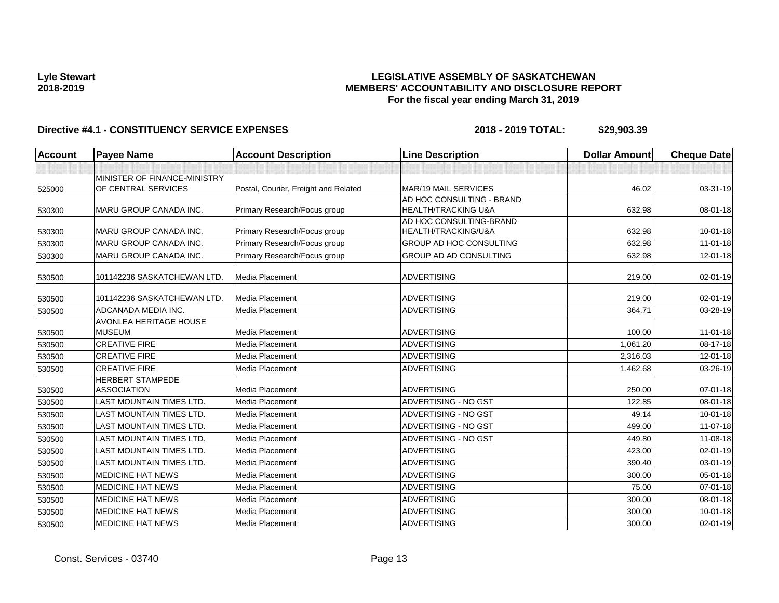## **LEGISLATIVE ASSEMBLY OF SASKATCHEWAN MEMBERS' ACCOUNTABILITY AND DISCLOSURE REPORT For the fiscal year ending March 31, 2019**

| <b>Account</b> | <b>Payee Name</b>                                   | <b>Account Description</b>           | <b>Line Description</b>                          | <b>Dollar Amount</b> | <b>Cheque Date</b> |
|----------------|-----------------------------------------------------|--------------------------------------|--------------------------------------------------|----------------------|--------------------|
|                |                                                     |                                      |                                                  |                      |                    |
| 525000         | MINISTER OF FINANCE-MINISTRY<br>OF CENTRAL SERVICES | Postal, Courier, Freight and Related | MAR/19 MAIL SERVICES                             | 46.02                | 03-31-19           |
| 530300         | <b>MARU GROUP CANADA INC.</b>                       | Primary Research/Focus group         | AD HOC CONSULTING - BRAND<br>HEALTH/TRACKING U&A | 632.98               | $08 - 01 - 18$     |
| 530300         | MARU GROUP CANADA INC.                              | Primary Research/Focus group         | AD HOC CONSULTING-BRAND<br>HEALTH/TRACKING/U&A   | 632.98               | $10 - 01 - 18$     |
| 530300         | <b>MARU GROUP CANADA INC.</b>                       | Primary Research/Focus group         | <b>GROUP AD HOC CONSULTING</b>                   | 632.98               | $11-01-18$         |
| 530300         | <b>MARU GROUP CANADA INC.</b>                       | Primary Research/Focus group         | <b>GROUP AD AD CONSULTING</b>                    | 632.98               | 12-01-18           |
| 530500         | 101142236 SASKATCHEWAN LTD.                         | Media Placement                      | <b>ADVERTISING</b>                               | 219.00               | 02-01-19           |
| 530500         | 101142236 SASKATCHEWAN LTD.                         | Media Placement                      | <b>ADVERTISING</b>                               | 219.00               | 02-01-19           |
| 530500         | ADCANADA MEDIA INC.                                 | Media Placement                      | <b>ADVERTISING</b>                               | 364.71               | 03-28-19           |
| 530500         | <b>AVONLEA HERITAGE HOUSE</b><br><b>MUSEUM</b>      | Media Placement                      | <b>ADVERTISING</b>                               | 100.00               | $11 - 01 - 18$     |
| 530500         | <b>CREATIVE FIRE</b>                                | Media Placement                      | <b>ADVERTISING</b>                               | 1,061.20             | 08-17-18           |
| 530500         | <b>CREATIVE FIRE</b>                                | <b>Media Placement</b>               | <b>ADVERTISING</b>                               | 2,316.03             | 12-01-18           |
| 530500         | <b>CREATIVE FIRE</b>                                | Media Placement                      | <b>ADVERTISING</b>                               | 1,462.68             | 03-26-19           |
| 530500         | <b>HERBERT STAMPEDE</b><br><b>ASSOCIATION</b>       | Media Placement                      | <b>ADVERTISING</b>                               | 250.00               | 07-01-18           |
| 530500         | LAST MOUNTAIN TIMES LTD.                            | Media Placement                      | <b>ADVERTISING - NO GST</b>                      | 122.85               | 08-01-18           |
| 530500         | <b>LAST MOUNTAIN TIMES LTD.</b>                     | Media Placement                      | ADVERTISING - NO GST                             | 49.14                | $10 - 01 - 18$     |
| 530500         | <b>LAST MOUNTAIN TIMES LTD.</b>                     | Media Placement                      | <b>ADVERTISING - NO GST</b>                      | 499.00               | 11-07-18           |
| 530500         | <b>LAST MOUNTAIN TIMES LTD.</b>                     | Media Placement                      | ADVERTISING - NO GST                             | 449.80               | 11-08-18           |
| 530500         | LAST MOUNTAIN TIMES LTD.                            | Media Placement                      | <b>ADVERTISING</b>                               | 423.00               | 02-01-19           |
| 530500         | <b>LAST MOUNTAIN TIMES LTD.</b>                     | Media Placement                      | <b>ADVERTISING</b>                               | 390.40               | 03-01-19           |
| 530500         | <b>MEDICINE HAT NEWS</b>                            | Media Placement                      | <b>ADVERTISING</b>                               | 300.00               | 05-01-18           |
| 530500         | <b>MEDICINE HAT NEWS</b>                            | Media Placement                      | <b>ADVERTISING</b>                               | 75.00                | 07-01-18           |
| 530500         | <b>MEDICINE HAT NEWS</b>                            | Media Placement                      | <b>ADVERTISING</b>                               | 300.00               | 08-01-18           |
| 530500         | <b>MEDICINE HAT NEWS</b>                            | <b>Media Placement</b>               | <b>ADVERTISING</b>                               | 300.00               | 10-01-18           |
| 530500         | <b>MEDICINE HAT NEWS</b>                            | Media Placement                      | <b>ADVERTISING</b>                               | 300.00               | 02-01-19           |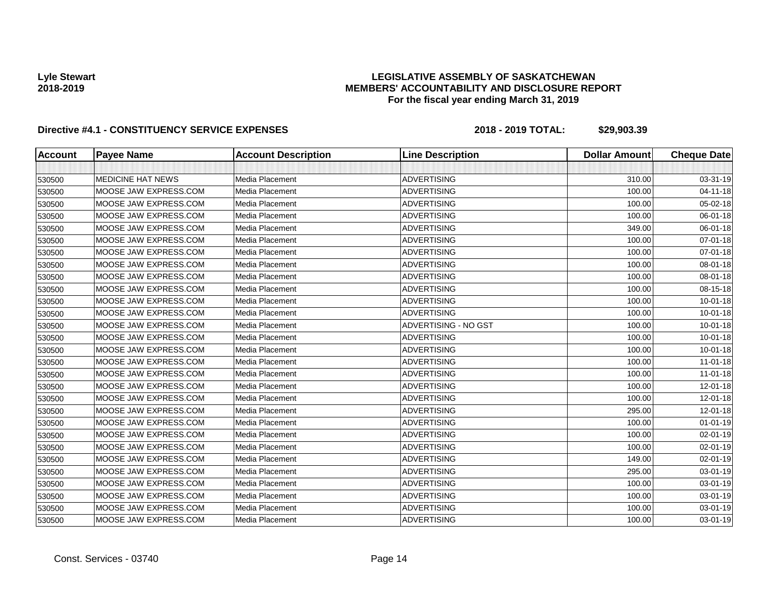## **LEGISLATIVE ASSEMBLY OF SASKATCHEWAN MEMBERS' ACCOUNTABILITY AND DISCLOSURE REPORT For the fiscal year ending March 31, 2019**

| <b>Account</b> | <b>Payee Name</b>        | <b>Account Description</b> | <b>Line Description</b> | <b>Dollar Amount</b> | <b>Cheque Date</b> |
|----------------|--------------------------|----------------------------|-------------------------|----------------------|--------------------|
|                |                          |                            |                         |                      |                    |
| 530500         | <b>MEDICINE HAT NEWS</b> | Media Placement            | <b>ADVERTISING</b>      | 310.00               | 03-31-19           |
| 530500         | MOOSE JAW EXPRESS.COM    | Media Placement            | <b>ADVERTISING</b>      | 100.00               | $04 - 11 - 18$     |
| 530500         | MOOSE JAW EXPRESS.COM    | Media Placement            | <b>ADVERTISING</b>      | 100.00               | 05-02-18           |
| 530500         | MOOSE JAW EXPRESS.COM    | Media Placement            | <b>ADVERTISING</b>      | 100.00               | 06-01-18           |
| 530500         | MOOSE JAW EXPRESS.COM    | Media Placement            | <b>ADVERTISING</b>      | 349.00               | 06-01-18           |
| 530500         | MOOSE JAW EXPRESS.COM    | Media Placement            | <b>ADVERTISING</b>      | 100.00               | $07 - 01 - 18$     |
| 530500         | MOOSE JAW EXPRESS.COM    | Media Placement            | <b>ADVERTISING</b>      | 100.00               | 07-01-18           |
| 530500         | MOOSE JAW EXPRESS.COM    | Media Placement            | <b>ADVERTISING</b>      | 100.00               | 08-01-18           |
| 530500         | MOOSE JAW EXPRESS.COM    | Media Placement            | <b>ADVERTISING</b>      | 100.00               | 08-01-18           |
| 530500         | MOOSE JAW EXPRESS.COM    | Media Placement            | <b>ADVERTISING</b>      | 100.00               | 08-15-18           |
| 530500         | MOOSE JAW EXPRESS.COM    | Media Placement            | <b>ADVERTISING</b>      | 100.00               | $10 - 01 - 18$     |
| 530500         | MOOSE JAW EXPRESS.COM    | Media Placement            | <b>ADVERTISING</b>      | 100.00               | $10 - 01 - 18$     |
| 530500         | MOOSE JAW EXPRESS.COM    | Media Placement            | ADVERTISING - NO GST    | 100.00               | $10 - 01 - 18$     |
| 530500         | MOOSE JAW EXPRESS.COM    | Media Placement            | <b>ADVERTISING</b>      | 100.00               | $10 - 01 - 18$     |
| 530500         | MOOSE JAW EXPRESS.COM    | Media Placement            | <b>ADVERTISING</b>      | 100.00               | $10 - 01 - 18$     |
| 530500         | MOOSE JAW EXPRESS.COM    | Media Placement            | <b>ADVERTISING</b>      | 100.00               | $11 - 01 - 18$     |
| 530500         | MOOSE JAW EXPRESS.COM    | Media Placement            | <b>ADVERTISING</b>      | 100.00               | $11-01-18$         |
| 530500         | MOOSE JAW EXPRESS.COM    | Media Placement            | <b>ADVERTISING</b>      | 100.00               | 12-01-18           |
| 530500         | MOOSE JAW EXPRESS.COM    | Media Placement            | <b>ADVERTISING</b>      | 100.00               | 12-01-18           |
| 530500         | MOOSE JAW EXPRESS.COM    | Media Placement            | <b>ADVERTISING</b>      | 295.00               | 12-01-18           |
| 530500         | MOOSE JAW EXPRESS.COM    | Media Placement            | <b>ADVERTISING</b>      | 100.00               | $01 - 01 - 19$     |
| 530500         | MOOSE JAW EXPRESS.COM    | Media Placement            | <b>ADVERTISING</b>      | 100.00               | $02 - 01 - 19$     |
| 530500         | MOOSE JAW EXPRESS.COM    | Media Placement            | <b>ADVERTISING</b>      | 100.00               | 02-01-19           |
| 530500         | MOOSE JAW EXPRESS.COM    | Media Placement            | <b>ADVERTISING</b>      | 149.00               | 02-01-19           |
| 530500         | MOOSE JAW EXPRESS.COM    | Media Placement            | <b>ADVERTISING</b>      | 295.00               | 03-01-19           |
| 530500         | MOOSE JAW EXPRESS.COM    | Media Placement            | <b>ADVERTISING</b>      | 100.00               | 03-01-19           |
| 530500         | MOOSE JAW EXPRESS.COM    | Media Placement            | <b>ADVERTISING</b>      | 100.00               | 03-01-19           |
| 530500         | MOOSE JAW EXPRESS.COM    | Media Placement            | <b>ADVERTISING</b>      | 100.00               | 03-01-19           |
| 530500         | MOOSE JAW EXPRESS.COM    | Media Placement            | <b>ADVERTISING</b>      | 100.00               | 03-01-19           |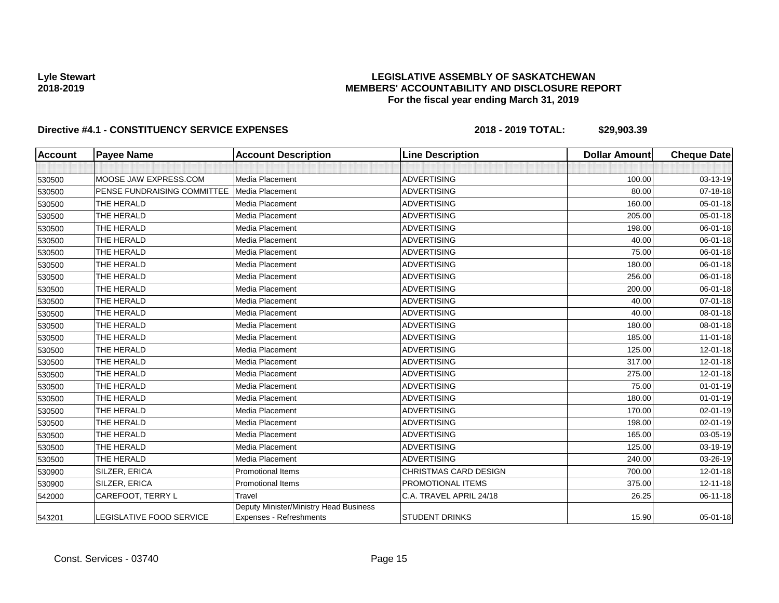## **LEGISLATIVE ASSEMBLY OF SASKATCHEWAN MEMBERS' ACCOUNTABILITY AND DISCLOSURE REPORT For the fiscal year ending March 31, 2019**

| Account | <b>Payee Name</b>               | <b>Account Description</b>                                               | <b>Line Description</b> | <b>Dollar Amount</b> | <b>Cheque Date</b> |
|---------|---------------------------------|--------------------------------------------------------------------------|-------------------------|----------------------|--------------------|
|         |                                 |                                                                          |                         |                      |                    |
| 530500  | MOOSE JAW EXPRESS.COM           | Media Placement                                                          | <b>ADVERTISING</b>      | 100.00               | 03-13-19           |
| 530500  | PENSE FUNDRAISING COMMITTEE     | Media Placement                                                          | <b>ADVERTISING</b>      | 80.00                | 07-18-18           |
| 530500  | THE HERALD                      | Media Placement                                                          | <b>ADVERTISING</b>      | 160.00               | $05 - 01 - 18$     |
| 530500  | THE HERALD                      | Media Placement                                                          | <b>ADVERTISING</b>      | 205.00               | $05 - 01 - 18$     |
| 530500  | THE HERALD                      | Media Placement                                                          | <b>ADVERTISING</b>      | 198.00               | 06-01-18           |
| 530500  | THE HERALD                      | <b>Media Placement</b>                                                   | <b>ADVERTISING</b>      | 40.00                | 06-01-18           |
| 530500  | THE HERALD                      | Media Placement                                                          | <b>ADVERTISING</b>      | 75.00                | 06-01-18           |
| 530500  | THE HERALD                      | Media Placement                                                          | <b>ADVERTISING</b>      | 180.00               | 06-01-18           |
| 530500  | THE HERALD                      | Media Placement                                                          | <b>ADVERTISING</b>      | 256.00               | 06-01-18           |
| 530500  | THE HERALD                      | Media Placement                                                          | <b>ADVERTISING</b>      | 200.00               | 06-01-18           |
| 530500  | THE HERALD                      | <b>Media Placement</b>                                                   | <b>ADVERTISING</b>      | 40.00                | 07-01-18           |
| 530500  | THE HERALD                      | Media Placement                                                          | <b>ADVERTISING</b>      | 40.00                | 08-01-18           |
| 530500  | THE HERALD                      | Media Placement                                                          | <b>ADVERTISING</b>      | 180.00               | 08-01-18           |
| 530500  | THE HERALD                      | <b>Media Placement</b>                                                   | <b>ADVERTISING</b>      | 185.00               | $11-01-18$         |
| 530500  | THE HERALD                      | Media Placement                                                          | <b>ADVERTISING</b>      | 125.00               | 12-01-18           |
| 530500  | THE HERALD                      | <b>Media Placement</b>                                                   | <b>ADVERTISING</b>      | 317.00               | 12-01-18           |
| 530500  | THE HERALD                      | Media Placement                                                          | <b>ADVERTISING</b>      | 275.00               | 12-01-18           |
| 530500  | THE HERALD                      | Media Placement                                                          | <b>ADVERTISING</b>      | 75.00                | $01 - 01 - 19$     |
| 530500  | THE HERALD                      | Media Placement                                                          | <b>ADVERTISING</b>      | 180.00               | $01 - 01 - 19$     |
| 530500  | THE HERALD                      | Media Placement                                                          | <b>ADVERTISING</b>      | 170.00               | $02 - 01 - 19$     |
| 530500  | THE HERALD                      | <b>Media Placement</b>                                                   | <b>ADVERTISING</b>      | 198.00               | $02 - 01 - 19$     |
| 530500  | THE HERALD                      | Media Placement                                                          | <b>ADVERTISING</b>      | 165.00               | 03-05-19           |
| 530500  | THE HERALD                      | Media Placement                                                          | <b>ADVERTISING</b>      | 125.00               | 03-19-19           |
| 530500  | THE HERALD                      | Media Placement                                                          | <b>ADVERTISING</b>      | 240.00               | 03-26-19           |
| 530900  | SILZER, ERICA                   | <b>Promotional Items</b>                                                 | CHRISTMAS CARD DESIGN   | 700.00               | $12 - 01 - 18$     |
| 530900  | SILZER, ERICA                   | <b>Promotional Items</b>                                                 | PROMOTIONAL ITEMS       | 375.00               | $12 - 11 - 18$     |
| 542000  | CAREFOOT, TERRY L               | Travel                                                                   | C.A. TRAVEL APRIL 24/18 | 26.25                | 06-11-18           |
| 543201  | <b>LEGISLATIVE FOOD SERVICE</b> | Deputy Minister/Ministry Head Business<br><b>Expenses - Refreshments</b> | <b>STUDENT DRINKS</b>   | 15.90                | 05-01-18           |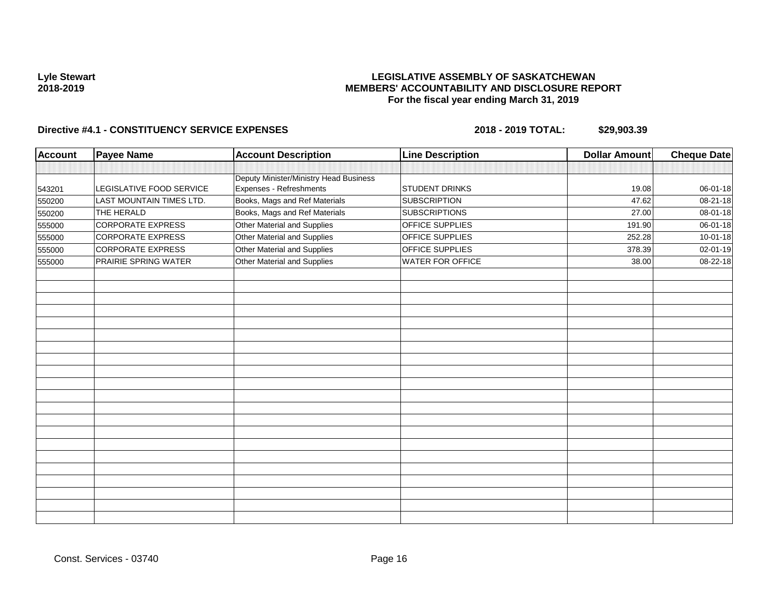## **LEGISLATIVE ASSEMBLY OF SASKATCHEWAN MEMBERS' ACCOUNTABILITY AND DISCLOSURE REPORT For the fiscal year ending March 31, 2019**

| <b>Payee Name</b>        |                                        | <b>Line Description</b>                                                                                                                                | <b>Dollar Amount</b>                          | <b>Cheque Date</b> |
|--------------------------|----------------------------------------|--------------------------------------------------------------------------------------------------------------------------------------------------------|-----------------------------------------------|--------------------|
|                          |                                        |                                                                                                                                                        |                                               |                    |
|                          | Deputy Minister/Ministry Head Business |                                                                                                                                                        |                                               |                    |
|                          |                                        |                                                                                                                                                        |                                               | 06-01-18           |
| LAST MOUNTAIN TIMES LTD. |                                        | <b>SUBSCRIPTION</b>                                                                                                                                    | 47.62                                         | 08-21-18           |
| THE HERALD               |                                        |                                                                                                                                                        | 27.00                                         | 08-01-18           |
| <b>CORPORATE EXPRESS</b> |                                        | <b>OFFICE SUPPLIES</b>                                                                                                                                 | 191.90                                        | 06-01-18           |
| <b>CORPORATE EXPRESS</b> | Other Material and Supplies            | OFFICE SUPPLIES                                                                                                                                        | 252.28                                        | $10 - 01 - 18$     |
| <b>CORPORATE EXPRESS</b> | Other Material and Supplies            | OFFICE SUPPLIES                                                                                                                                        | 378.39                                        | 02-01-19           |
| PRAIRIE SPRING WATER     | Other Material and Supplies            | <b>WATER FOR OFFICE</b>                                                                                                                                | 38.00                                         | 08-22-18           |
|                          |                                        |                                                                                                                                                        |                                               |                    |
|                          |                                        |                                                                                                                                                        |                                               |                    |
|                          |                                        |                                                                                                                                                        |                                               |                    |
|                          |                                        |                                                                                                                                                        |                                               |                    |
|                          |                                        |                                                                                                                                                        |                                               |                    |
|                          |                                        |                                                                                                                                                        |                                               |                    |
|                          |                                        |                                                                                                                                                        |                                               |                    |
|                          |                                        |                                                                                                                                                        |                                               |                    |
|                          |                                        |                                                                                                                                                        |                                               |                    |
|                          |                                        |                                                                                                                                                        |                                               |                    |
|                          |                                        |                                                                                                                                                        |                                               |                    |
|                          |                                        |                                                                                                                                                        |                                               |                    |
|                          |                                        |                                                                                                                                                        |                                               |                    |
|                          |                                        |                                                                                                                                                        |                                               |                    |
|                          |                                        |                                                                                                                                                        |                                               |                    |
|                          |                                        |                                                                                                                                                        |                                               |                    |
|                          |                                        |                                                                                                                                                        |                                               |                    |
|                          |                                        |                                                                                                                                                        |                                               |                    |
|                          |                                        |                                                                                                                                                        |                                               |                    |
|                          |                                        |                                                                                                                                                        |                                               |                    |
|                          |                                        |                                                                                                                                                        |                                               |                    |
|                          | LEGISLATIVE FOOD SERVICE               | <b>Account Description</b><br>Expenses - Refreshments<br>Books, Mags and Ref Materials<br>Books, Mags and Ref Materials<br>Other Material and Supplies | <b>STUDENT DRINKS</b><br><b>SUBSCRIPTIONS</b> | 19.08              |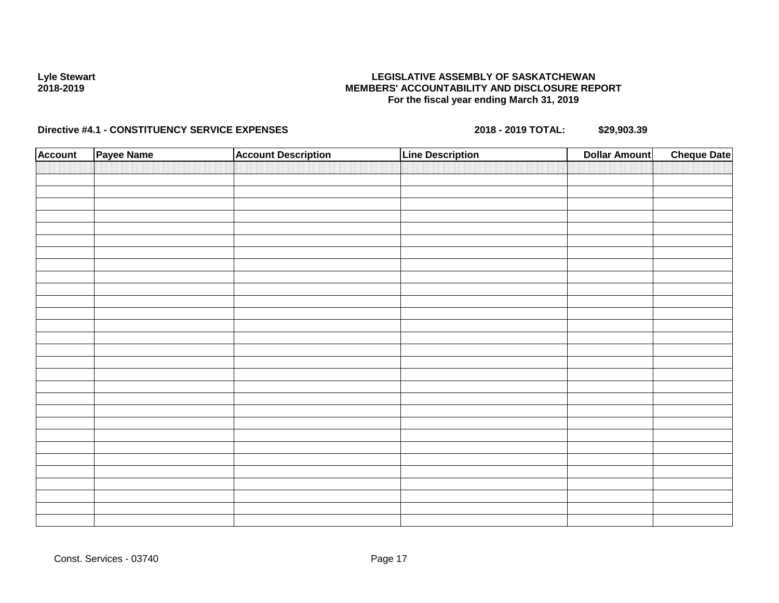## **LEGISLATIVE ASSEMBLY OF SASKATCHEWAN MEMBERS' ACCOUNTABILITY AND DISCLOSURE REPORT For the fiscal year ending March 31, 2019**

| <b>Account</b> | Payee Name | <b>Account Description</b> | <b>Line Description</b> | <b>Dollar Amount</b> | <b>Cheque Date</b> |
|----------------|------------|----------------------------|-------------------------|----------------------|--------------------|
|                |            |                            |                         |                      |                    |
|                |            |                            |                         |                      |                    |
|                |            |                            |                         |                      |                    |
|                |            |                            |                         |                      |                    |
|                |            |                            |                         |                      |                    |
|                |            |                            |                         |                      |                    |
|                |            |                            |                         |                      |                    |
|                |            |                            |                         |                      |                    |
|                |            |                            |                         |                      |                    |
|                |            |                            |                         |                      |                    |
|                |            |                            |                         |                      |                    |
|                |            |                            |                         |                      |                    |
|                |            |                            |                         |                      |                    |
|                |            |                            |                         |                      |                    |
|                |            |                            |                         |                      |                    |
|                |            |                            |                         |                      |                    |
|                |            |                            |                         |                      |                    |
|                |            |                            |                         |                      |                    |
|                |            |                            |                         |                      |                    |
|                |            |                            |                         |                      |                    |
|                |            |                            |                         |                      |                    |
|                |            |                            |                         |                      |                    |
|                |            |                            |                         |                      |                    |
|                |            |                            |                         |                      |                    |
|                |            |                            |                         |                      |                    |
|                |            |                            |                         |                      |                    |
|                |            |                            |                         |                      |                    |
|                |            |                            |                         |                      |                    |
|                |            |                            |                         |                      |                    |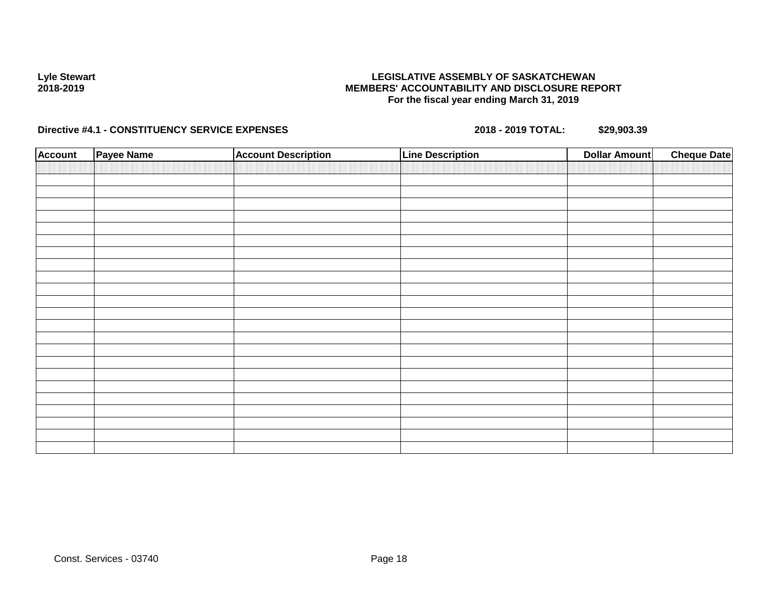## **LEGISLATIVE ASSEMBLY OF SASKATCHEWAN MEMBERS' ACCOUNTABILITY AND DISCLOSURE REPORT For the fiscal year ending March 31, 2019**

| <b>Account</b> | Payee Name | <b>Account Description</b> | <b>Line Description</b> | <b>Dollar Amount</b> | <b>Cheque Date</b> |
|----------------|------------|----------------------------|-------------------------|----------------------|--------------------|
|                |            |                            |                         |                      |                    |
|                |            |                            |                         |                      |                    |
|                |            |                            |                         |                      |                    |
|                |            |                            |                         |                      |                    |
|                |            |                            |                         |                      |                    |
|                |            |                            |                         |                      |                    |
|                |            |                            |                         |                      |                    |
|                |            |                            |                         |                      |                    |
|                |            |                            |                         |                      |                    |
|                |            |                            |                         |                      |                    |
|                |            |                            |                         |                      |                    |
|                |            |                            |                         |                      |                    |
|                |            |                            |                         |                      |                    |
|                |            |                            |                         |                      |                    |
|                |            |                            |                         |                      |                    |
|                |            |                            |                         |                      |                    |
|                |            |                            |                         |                      |                    |
|                |            |                            |                         |                      |                    |
|                |            |                            |                         |                      |                    |
|                |            |                            |                         |                      |                    |
|                |            |                            |                         |                      |                    |
|                |            |                            |                         |                      |                    |
|                |            |                            |                         |                      |                    |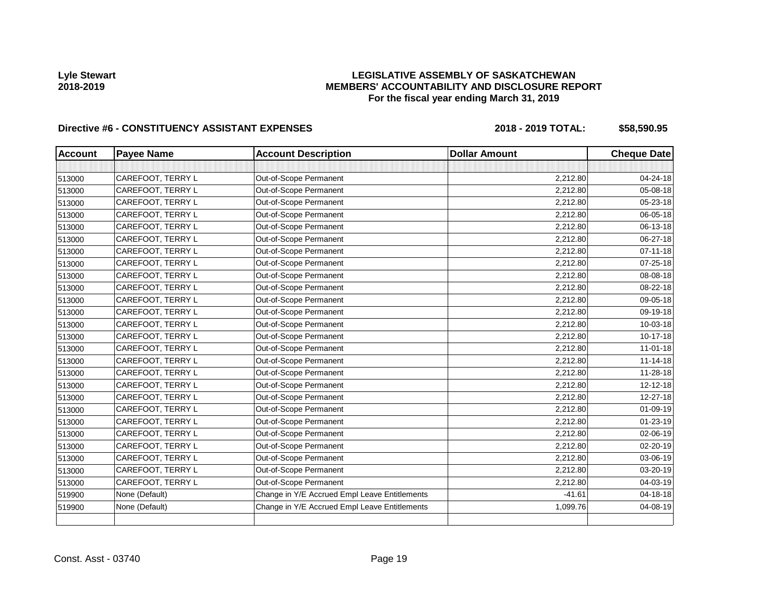# **LEGISLATIVE ASSEMBLY OF SASKATCHEWAN MEMBERS' ACCOUNTABILITY AND DISCLOSURE REPORT For the fiscal year ending March 31, 2019**

| <b>Account</b> | <b>Payee Name</b> | <b>Account Description</b>                    | <b>Dollar Amount</b> | <b>Cheque Date</b> |
|----------------|-------------------|-----------------------------------------------|----------------------|--------------------|
|                |                   |                                               |                      |                    |
| 513000         | CAREFOOT, TERRY L | Out-of-Scope Permanent                        | 2,212.80             | 04-24-18           |
| 513000         | CAREFOOT, TERRY L | Out-of-Scope Permanent                        | 2.212.80             | 05-08-18           |
| 513000         | CAREFOOT, TERRY L | Out-of-Scope Permanent                        | 2,212.80             | 05-23-18           |
| 513000         | CAREFOOT, TERRY L | Out-of-Scope Permanent                        | 2.212.80             | 06-05-18           |
| 513000         | CAREFOOT, TERRY L | Out-of-Scope Permanent                        | 2,212.80             | 06-13-18           |
| 513000         | CAREFOOT, TERRY L | Out-of-Scope Permanent                        | 2,212.80             | 06-27-18           |
| 513000         | CAREFOOT, TERRY L | Out-of-Scope Permanent                        | 2,212.80             | $07 - 11 - 18$     |
| 513000         | CAREFOOT, TERRY L | Out-of-Scope Permanent                        | 2,212.80             | 07-25-18           |
| 513000         | CAREFOOT, TERRY L | Out-of-Scope Permanent                        | 2,212.80             | 08-08-18           |
| 513000         | CAREFOOT, TERRY L | Out-of-Scope Permanent                        | 2,212.80             | 08-22-18           |
| 513000         | CAREFOOT, TERRY L | Out-of-Scope Permanent                        | 2,212.80             | 09-05-18           |
| 513000         | CAREFOOT, TERRY L | Out-of-Scope Permanent                        | 2,212.80             | 09-19-18           |
| 513000         | CAREFOOT, TERRY L | Out-of-Scope Permanent                        | 2,212.80             | 10-03-18           |
| 513000         | CAREFOOT, TERRY L | Out-of-Scope Permanent                        | 2,212.80             | $10-17-18$         |
| 513000         | CAREFOOT, TERRY L | Out-of-Scope Permanent                        | 2,212.80             | $11 - 01 - 18$     |
| 513000         | CAREFOOT, TERRY L | Out-of-Scope Permanent                        | 2,212.80             | $11 - 14 - 18$     |
| 513000         | CAREFOOT, TERRY L | Out-of-Scope Permanent                        | 2,212.80             | 11-28-18           |
| 513000         | CAREFOOT, TERRY L | Out-of-Scope Permanent                        | 2,212.80             | $12 - 12 - 18$     |
| 513000         | CAREFOOT, TERRY L | Out-of-Scope Permanent                        | 2,212.80             | 12-27-18           |
| 513000         | CAREFOOT, TERRY L | Out-of-Scope Permanent                        | 2,212.80             | 01-09-19           |
| 513000         | CAREFOOT, TERRY L | Out-of-Scope Permanent                        | 2,212.80             | $01 - 23 - 19$     |
| 513000         | CAREFOOT, TERRY L | Out-of-Scope Permanent                        | 2,212.80             | 02-06-19           |
| 513000         | CAREFOOT, TERRY L | Out-of-Scope Permanent                        | 2,212.80             | $02 - 20 - 19$     |
| 513000         | CAREFOOT, TERRY L | Out-of-Scope Permanent                        | 2,212.80             | 03-06-19           |
| 513000         | CAREFOOT, TERRY L | Out-of-Scope Permanent                        | 2,212.80             | 03-20-19           |
| 513000         | CAREFOOT, TERRY L | Out-of-Scope Permanent                        | 2,212.80             | 04-03-19           |
| 519900         | None (Default)    | Change in Y/E Accrued Empl Leave Entitlements | $-41.61$             | 04-18-18           |
| 519900         | None (Default)    | Change in Y/E Accrued Empl Leave Entitlements | 1,099.76             | 04-08-19           |
|                |                   |                                               |                      |                    |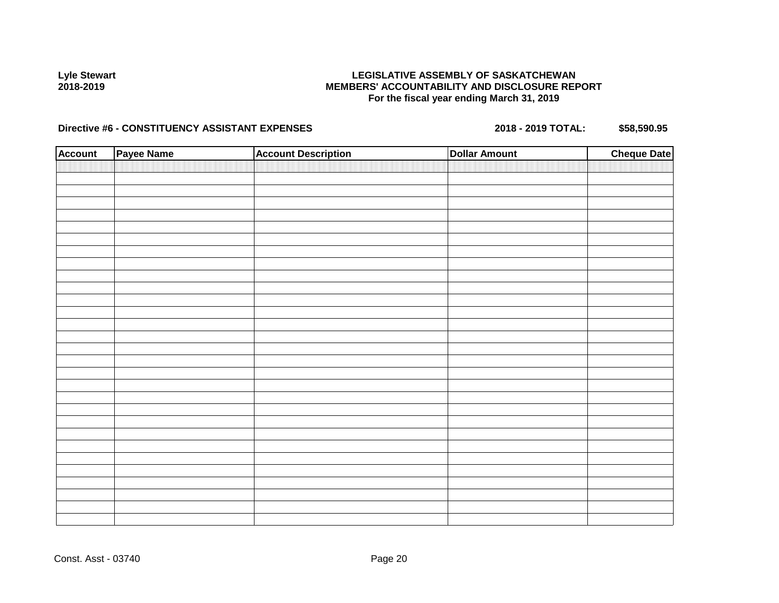## **LEGISLATIVE ASSEMBLY OF SASKATCHEWAN MEMBERS' ACCOUNTABILITY AND DISCLOSURE REPORT For the fiscal year ending March 31, 2019**

| <b>Account</b> | Payee Name | <b>Account Description</b> | <b>Dollar Amount</b> | <b>Cheque Date</b> |
|----------------|------------|----------------------------|----------------------|--------------------|
|                |            |                            |                      |                    |
|                |            |                            |                      |                    |
|                |            |                            |                      |                    |
|                |            |                            |                      |                    |
|                |            |                            |                      |                    |
|                |            |                            |                      |                    |
|                |            |                            |                      |                    |
|                |            |                            |                      |                    |
|                |            |                            |                      |                    |
|                |            |                            |                      |                    |
|                |            |                            |                      |                    |
|                |            |                            |                      |                    |
|                |            |                            |                      |                    |
|                |            |                            |                      |                    |
|                |            |                            |                      |                    |
|                |            |                            |                      |                    |
|                |            |                            |                      |                    |
|                |            |                            |                      |                    |
|                |            |                            |                      |                    |
|                |            |                            |                      |                    |
|                |            |                            |                      |                    |
|                |            |                            |                      |                    |
|                |            |                            |                      |                    |
|                |            |                            |                      |                    |
|                |            |                            |                      |                    |
|                |            |                            |                      |                    |
|                |            |                            |                      |                    |
|                |            |                            |                      |                    |
|                |            |                            |                      |                    |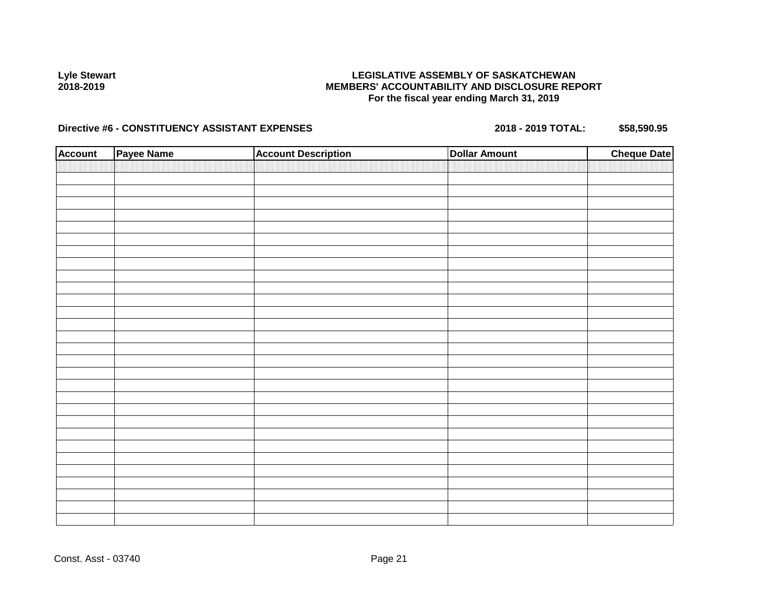## **LEGISLATIVE ASSEMBLY OF SASKATCHEWAN MEMBERS' ACCOUNTABILITY AND DISCLOSURE REPORT For the fiscal year ending March 31, 2019**

| <b>Account</b> | Payee Name | <b>Account Description</b> | <b>Dollar Amount</b> | <b>Cheque Date</b> |
|----------------|------------|----------------------------|----------------------|--------------------|
|                |            |                            |                      |                    |
|                |            |                            |                      |                    |
|                |            |                            |                      |                    |
|                |            |                            |                      |                    |
|                |            |                            |                      |                    |
|                |            |                            |                      |                    |
|                |            |                            |                      |                    |
|                |            |                            |                      |                    |
|                |            |                            |                      |                    |
|                |            |                            |                      |                    |
|                |            |                            |                      |                    |
|                |            |                            |                      |                    |
|                |            |                            |                      |                    |
|                |            |                            |                      |                    |
|                |            |                            |                      |                    |
|                |            |                            |                      |                    |
|                |            |                            |                      |                    |
|                |            |                            |                      |                    |
|                |            |                            |                      |                    |
|                |            |                            |                      |                    |
|                |            |                            |                      |                    |
|                |            |                            |                      |                    |
|                |            |                            |                      |                    |
|                |            |                            |                      |                    |
|                |            |                            |                      |                    |
|                |            |                            |                      |                    |
|                |            |                            |                      |                    |
|                |            |                            |                      |                    |
|                |            |                            |                      |                    |